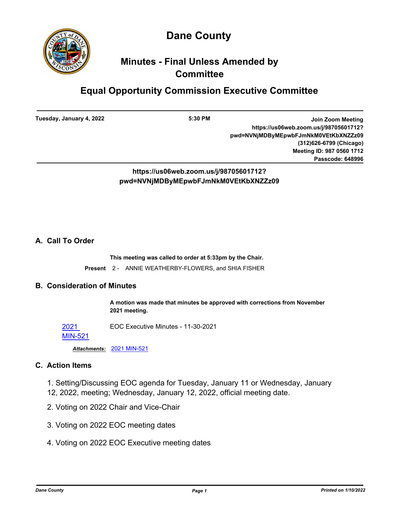



## **Minutes - Final Unless Amended by Committee**

# **Equal Opportunity Commission Executive Committee**

**Tuesday, January 4, 2022**

**5:30 PM Join Zoom Meeting https://us06web.zoom.us/j/98705601712? pwd=NVNjMDByMEpwbFJmNkM0VEtKbXNZZz09 (312)626-6799 (Chicago) Meeting ID: 987 0560 1712 Passcode: 648996**

**https://us06web.zoom.us/j/98705601712? pwd=NVNjMDByMEpwbFJmNkM0VEtKbXNZZz09**

## **A. Call To Order**

**This meeting was called to order at 5:33pm by the Chair.**

**Present** 2 - ANNIE WEATHERBY-FLOWERS, and SHIA FISHER

## **B. Consideration of Minutes**

**A motion was made that minutes be approved with corrections from November 2021 meeting.**

2021 EOC Executive Minutes - 11-30-2021

#### [MIN-521](http://dane.legistar.com/gateway.aspx?m=l&id=/matter.aspx?key=21889)

*Attachments:* [2021 MIN-521](http://dane.legistar.com/gateway.aspx?M=F&ID=b32e8fd2-d29b-4aa9-8b5b-a2d938a92a14.pdf)

### **C. Action Items**

- 1. Setting/Discussing EOC agenda for Tuesday, January 11 or Wednesday, January 12, 2022, meeting; Wednesday, January 12, 2022, official meeting date.
- 2. Voting on 2022 Chair and Vice-Chair
- 3. Voting on 2022 EOC meeting dates
- 4. Voting on 2022 EOC Executive meeting dates